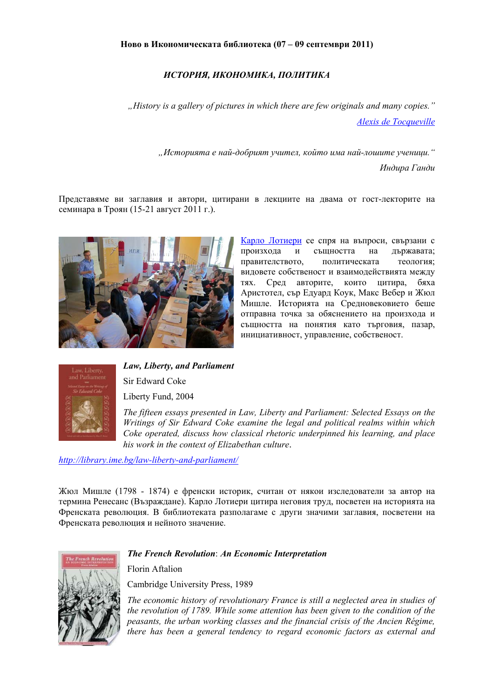## *ИСТОРИЯ, ИКОНОМИКА, ПОЛИТИКА*

*"History is a gallery of pictures in which there are few originals and many copies." [Alexis de Tocqueville](http://library.ime.bg/authors/alexis-de-tocqueville/)*

> *"Историята е най-добрият учител, който има най-лошите ученици." Индира Ганди*

Представяме ви заглавия и автори, цитирани в лекциите на двама от гост-лекторите на семинара в Троян (15-21 август 2011 г.).



Карло [Лотиери](http://en.wikipedia.org/wiki/Carlo_Lottieri) се спря на въпроси, свързани с произхода и същността на държавата; правителството, политическата теология; видовете собственост и взаимодействията между тях. Сред авторите, които цитира, бяха Аристотел, сър Едуард Коук, Макс Вебер и Жюл Мишле. Историята на Средновековието беше отправна точка за обяснението на произхода и същността на понятия като търговия, пазар, инициативност, управление, собственост.



*Law, Liberty, and Parliament*  Sir Edward Coke Liberty Fund, 2004

*The fifteen essays presented in Law, Liberty and Parliament: Selected Essays on the Writings of Sir Edward Coke examine the legal and political realms within which Coke operated, discuss how classical rhetoric underpinned his learning, and place his work in the context of Elizabethan culture*.

*<http://library.ime.bg/law-liberty-and-parliament/>*

Жюл Мишле (1798 - 1874) е френски историк, считан от някои изследователи за автор на термина Ренесанс (Възраждане). Карло Лотиери цитира неговия труд, посветен на историята на Френската революция. В библиотеката разполагаме с други значими заглавия, посветени на Френската революция и нейното значение.



*The French Revolution*: *An Еconomic Interpretation* 

Florin Aftalion

Cambridge University Press, 1989

*The economic history of revolutionary France is still a neglected area in studies of the revolution of 1789. While some attention has been given to the condition of the peasants, the urban working classes and the financial crisis of the Ancien Régime, there has been a general tendency to regard economic factors as external and*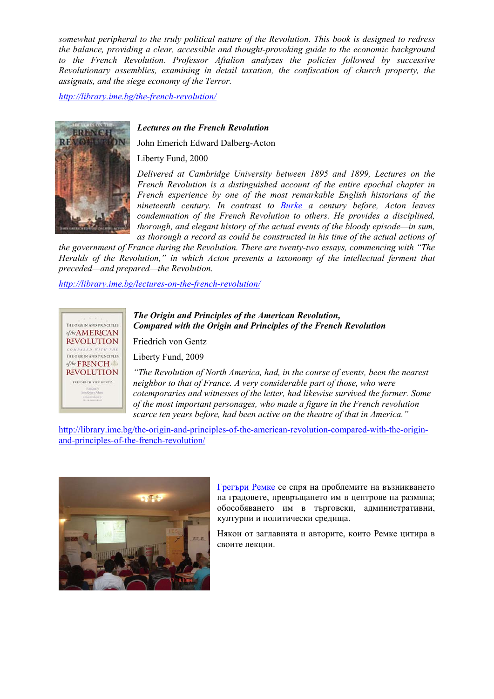*somewhat peripheral to the truly political nature of the Revolution. This book is designed to redress the balance, providing a clear, accessible and thought-provoking guide to the economic background to the French Revolution. Professor Aftalion analyzes the policies followed by successive Revolutionary assemblies, examining in detail taxation, the confiscation of church property, the assignats, and the siege economy of the Terror.* 

*<http://library.ime.bg/the-french-revolution/>*



#### *Lectures on the French Revolution*

John Emerich Edward Dalberg-Acton

Liberty Fund, 2000

*Delivered at Cambridge University between 1895 and 1899, Lectures on the French Revolution is a distinguished account of the entire epochal chapter in French experience by one of the most remarkable English historians of the nineteenth century. In contrast to [Burke](http://library.ime.bg/further-reflections-on-the-revolution-in-france/) a century before, Acton leaves condemnation of the French Revolution to others. He provides a disciplined, thorough, and elegant history of the actual events of the bloody episode—in sum, as thorough a record as could be constructed in his time of the actual actions of* 

*the government of France during the Revolution. There are twenty-two essays, commencing with "The Heralds of the Revolution," in which Acton presents a taxonomy of the intellectual ferment that preceded—and prepared—the Revolution.* 

*<http://library.ime.bg/lectures-on-the-french-revolution/>*



## *The Origin and Principles of the American Revolution, Compared with the Origin and Principles of the French Revolution*

Friedrich von Gentz

Liberty Fund, 2009

*"The Revolution of North America, had, in the course of events, been the nearest neighbor to that of France. A very considerable part of those, who were cotemporaries and witnesses of the letter, had likewise survived the former. Some of the most important personages, who made a figure in the French revolution scarce ten years before, had been active on the theatre of that in America."* 

[http://library.ime.bg/the-origin-and-principles-of-the-american-revolution-compared-with-the-origin](http://library.ime.bg/the-origin-and-principles-of-the-american-revolution-compared-with-the-origin-and-principles-of-the-french-revolution/)[and-principles-of-the-french-revolution/](http://library.ime.bg/the-origin-and-principles-of-the-american-revolution-compared-with-the-origin-and-principles-of-the-french-revolution/)



[Грегъри](http://www.economicthinking.org/about/gregoryrehmke.html) Ремке се спря на проблемите на възникването на градовете, превръщането им в центрове на размяна; обособяването им в търговски, административни, културни и политически средища.

Някои от заглавията и авторите, които Ремке цитира в своите лекции.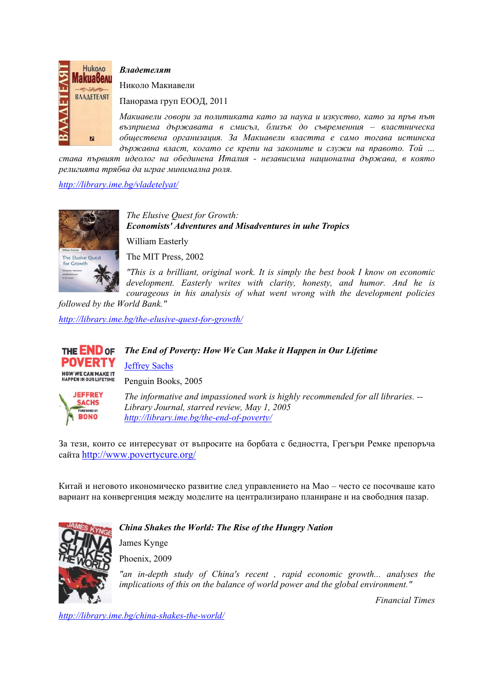

*Владетелят*

Николо Макиавели

Панорама груп ЕООД, 2011

*Макиавели говори за политиката като за наука и изкуство, като за пръв път възприема държавата в смисъл, близък до съвременния – властническа обществена организация. За Макиавели властта е само тогава истинска държавна власт, когато се крепи на законите и служи на правото. Той …* 

*става първият идеолог на обединена Италия - независима национална държава, в която религията трябва да играе минимална роля.* 

### *<http://library.ime.bg/vladetelyat/>*



*The Elusive Quest for Growth: Economists' Adventures and Misadventures in шhe Tropics*  William Easterly

The MIT Press, 2002

*"This is a brilliant, original work. It is simply the best book I know on economic development. Easterly writes with clarity, honesty, and humor. And he is courageous in his analysis of what went wrong with the development policies* 

*followed by the World Bank." <http://library.ime.bg/the-elusive-quest-for-growth/>*



# *The End of Poverty: How We Can Make it Happen in Our Lifetime*  [Jeffrey Sachs](http://library.ime.bg/authors/jeffrey-sachs/) Penguin Books, 2005



*The informative and impassioned work is highly recommended for all libraries. -- Library Journal, starred review, May 1, 2005 <http://library.ime.bg/the-end-of-poverty/>*

За тези, които се интересуват от въпросите на борбата с бедността, Грегъри Ремке препоръча сайта <http://www.povertycure.org/>

Китай и неговото икономическо развитие след управлението на Мао – често се посочваше като вариант на конвергенция между моделите на централизирано планиране и на свободния пазар.





Phoenix, 2009

*"an in-depth study of China's recent , rapid economic growth... analyses the implications of this on the balance of world power and the global environment."* 

*Financial Times* 

*<http://library.ime.bg/china-shakes-the-world/>*